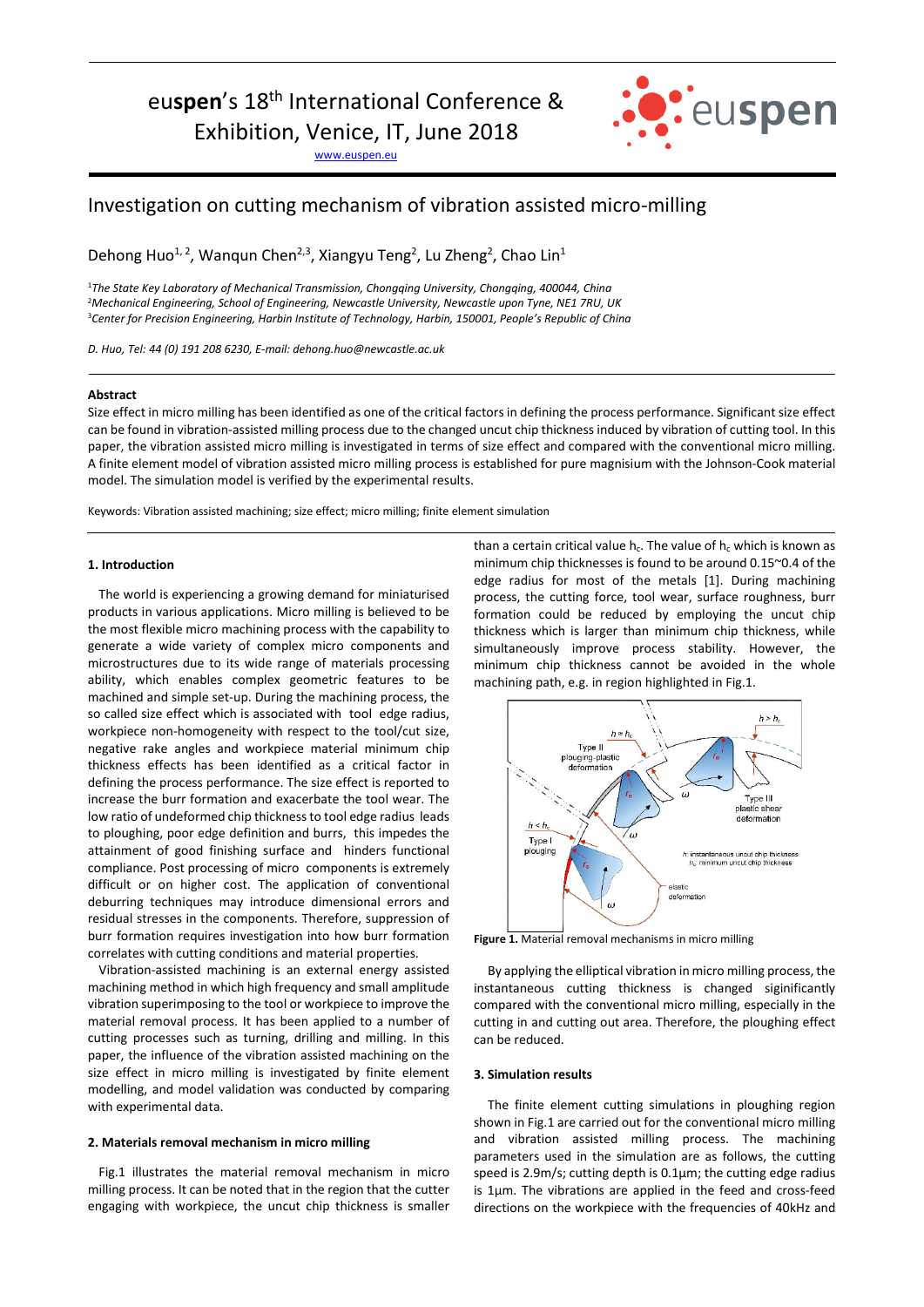euspen's 18<sup>th</sup> International Conference &

Exhibition, Venice, IT, June 2018

www.euspen.eu



# Investigation on cutting mechanism of vibration assisted micro-milling

Dehong Huo<sup>1, 2</sup>, Wanqun Chen<sup>2,3</sup>, Xiangyu Teng<sup>2</sup>, Lu Zheng<sup>2</sup>, Chao Lin<sup>1</sup>

<sup>1</sup>*The State Key Laboratory of Mechanical Transmission, Chongqing University, Chongqing, 400044, China*  <sup>2</sup>*Mechanical Engineering, School of Engineering, Newcastle University, Newcastle upon Tyne, NE1 7RU, UK*  <sup>3</sup>*Center for Precision Engineering, Harbin Institute of Technology, Harbin, 150001, People's Republic of China* 

*D. Huo, Tel: 44 (0) 191 208 6230, E-mail: dehong.huo@newcastle.ac.uk* 

## **Abstract**

Size effect in micro milling has been identified as one of the critical factors in defining the process performance. Significant size effect can be found in vibration-assisted milling process due to the changed uncut chip thickness induced by vibration of cutting tool. In this paper, the vibration assisted micro milling is investigated in terms of size effect and compared with the conventional micro milling. A finite element model of vibration assisted micro milling process is established for pure magnisium with the Johnson-Cook material model. The simulation model is verified by the experimental results.

Keywords: Vibration assisted machining; size effect; micro milling; finite element simulation

#### **1. Introduction**

The world is experiencing a growing demand for miniaturised products in various applications. Micro milling is believed to be the most flexible micro machining process with the capability to generate a wide variety of complex micro components and microstructures due to its wide range of materials processing ability, which enables complex geometric features to be machined and simple set-up. During the machining process, the so called size effect which is associated with tool edge radius, workpiece non-homogeneity with respect to the tool/cut size, negative rake angles and workpiece material minimum chip thickness effects has been identified as a critical factor in defining the process performance. The size effect is reported to increase the burr formation and exacerbate the tool wear. The low ratio of undeformed chip thickness to tool edge radius leads to ploughing, poor edge definition and burrs, this impedes the attainment of good finishing surface and hinders functional compliance. Post processing of micro components is extremely difficult or on higher cost. The application of conventional deburring techniques may introduce dimensional errors and residual stresses in the components. Therefore, suppression of burr formation requires investigation into how burr formation correlates with cutting conditions and material properties.

Vibration-assisted machining is an external energy assisted machining method in which high frequency and small amplitude vibration superimposing to the tool or workpiece to improve the material removal process. It has been applied to a number of cutting processes such as turning, drilling and milling. In this paper, the influence of the vibration assisted machining on the size effect in micro milling is investigated by finite element modelling, and model validation was conducted by comparing with experimental data.

## **2. Materials removal mechanism in micro milling**

Fig.1 illustrates the material removal mechanism in micro milling process. It can be noted that in the region that the cutter engaging with workpiece, the uncut chip thickness is smaller than a certain critical value  $h_c$ . The value of  $h_c$  which is known as minimum chip thicknesses is found to be around 0.15~0.4 of the edge radius for most of the metals [1]. During machining process, the cutting force, tool wear, surface roughness, burr formation could be reduced by employing the uncut chip thickness which is larger than minimum chip thickness, while simultaneously improve process stability. However, the minimum chip thickness cannot be avoided in the whole machining path, e.g. in region highlighted in Fig.1.



**Figure 1.** Material removal mechanisms in micro milling

By applying the elliptical vibration in micro milling process, the instantaneous cutting thickness is changed siginificantly compared with the conventional micro milling, especially in the cutting in and cutting out area. Therefore, the ploughing effect can be reduced.

### **3. Simulation results**

The finite element cutting simulations in ploughing region shown in Fig.1 are carried out for the conventional micro milling and vibration assisted milling process. The machining parameters used in the simulation are as follows, the cutting speed is 2.9m/s; cutting depth is 0.1μm; the cutting edge radius is 1μm. The vibrations are applied in the feed and cross-feed directions on the workpiece with the frequencies of 40kHz and